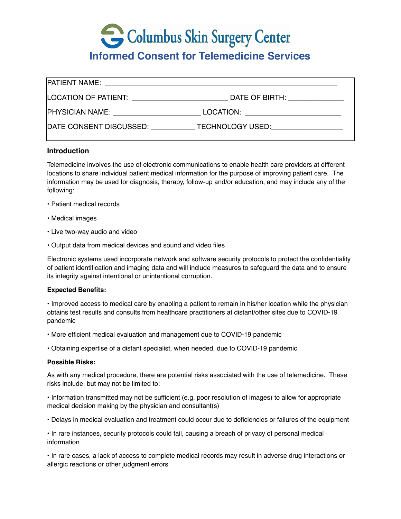# Columbus Skin Surgery Center

# **Informed Consent for Telemedicine Services**

| <b>PATIENT NAME:</b>                                                                                                                                                                                                           | <u> 1990 - Johann John Stein, mars an deutscher Programmen und der Stein und der Stein und der Stein und der Stein</u>           |
|--------------------------------------------------------------------------------------------------------------------------------------------------------------------------------------------------------------------------------|----------------------------------------------------------------------------------------------------------------------------------|
| LOCATION OF PATIENT: Network and the set of the set of the set of the set of the set of the set of the set of the set of the set of the set of the set of the set of the set of the set of the set of the set of the set of th | DATE OF BIRTH: THE STATE OF BIRTH:                                                                                               |
| <b>PHYSICIAN NAME:</b>                                                                                                                                                                                                         | LOCATION:<br><u> 1980 - Jan Barbara, manazarta da kasas da shekara 1980 - Ang Panganan ang Pangangan ang Pangangang Karangan</u> |
| DATE CONSENT DISCUSSED:                                                                                                                                                                                                        | TECHNOLOGY USED: TECHNOLOGY USED:                                                                                                |

# **Introduction**

Telemedicine involves the use of electronic communications to enable health care providers at different locations to share individual patient medical information for the purpose of improving patient care. The information may be used for diagnosis, therapy, follow-up and/or education, and may include any of the following:

- Patient medical records
- Medical images
- Live two-way audio and video
- Output data from medical devices and sound and video files

Electronic systems used incorporate network and software security protocols to protect the confidentiality of patient identification and imaging data and will include measures to safeguard the data and to ensure its integrity against intentional or unintentional corruption.

# **Expected Benefits:**

• Improved access to medical care by enabling a patient to remain in his/her location while the physician obtains test results and consults from healthcare practitioners at distant/other sites due to COVID-19 pandemic

• More efficient medical evaluation and management due to COVID-19 pandemic

• Obtaining expertise of a distant specialist, when needed, due to COVID-19 pandemic

#### **Possible Risks:**

As with any medical procedure, there are potential risks associated with the use of telemedicine. These risks include, but may not be limited to:

• Information transmitted may not be sufficient (e.g. poor resolution of images) to allow for appropriate medical decision making by the physician and consultant(s)

• Delays in medical evaluation and treatment could occur due to deficiencies or failures of the equipment

• In rare instances, security protocols could fail, causing a breach of privacy of personal medical information

• In rare cases, a lack of access to complete medical records may result in adverse drug interactions or allergic reactions or other judgment errors